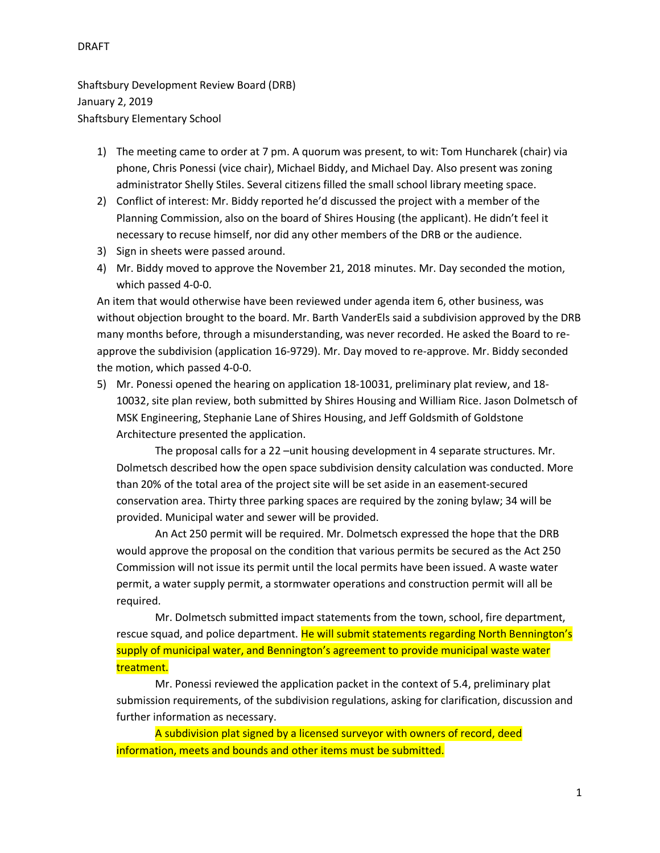Shaftsbury Development Review Board (DRB) January 2, 2019 Shaftsbury Elementary School

- 1) The meeting came to order at 7 pm. A quorum was present, to wit: Tom Huncharek (chair) via phone, Chris Ponessi (vice chair), Michael Biddy, and Michael Day. Also present was zoning administrator Shelly Stiles. Several citizens filled the small school library meeting space.
- 2) Conflict of interest: Mr. Biddy reported he'd discussed the project with a member of the Planning Commission, also on the board of Shires Housing (the applicant). He didn't feel it necessary to recuse himself, nor did any other members of the DRB or the audience.
- 3) Sign in sheets were passed around.
- 4) Mr. Biddy moved to approve the November 21, 2018 minutes. Mr. Day seconded the motion, which passed 4-0-0.

An item that would otherwise have been reviewed under agenda item 6, other business, was without objection brought to the board. Mr. Barth VanderEls said a subdivision approved by the DRB many months before, through a misunderstanding, was never recorded. He asked the Board to reapprove the subdivision (application 16-9729). Mr. Day moved to re-approve. Mr. Biddy seconded the motion, which passed 4-0-0.

5) Mr. Ponessi opened the hearing on application 18-10031, preliminary plat review, and 18- 10032, site plan review, both submitted by Shires Housing and William Rice. Jason Dolmetsch of MSK Engineering, Stephanie Lane of Shires Housing, and Jeff Goldsmith of Goldstone Architecture presented the application.

The proposal calls for a 22 –unit housing development in 4 separate structures. Mr. Dolmetsch described how the open space subdivision density calculation was conducted. More than 20% of the total area of the project site will be set aside in an easement-secured conservation area. Thirty three parking spaces are required by the zoning bylaw; 34 will be provided. Municipal water and sewer will be provided.

An Act 250 permit will be required. Mr. Dolmetsch expressed the hope that the DRB would approve the proposal on the condition that various permits be secured as the Act 250 Commission will not issue its permit until the local permits have been issued. A waste water permit, a water supply permit, a stormwater operations and construction permit will all be required.

Mr. Dolmetsch submitted impact statements from the town, school, fire department, rescue squad, and police department. He will submit statements regarding North Bennington's supply of municipal water, and Bennington's agreement to provide municipal waste water treatment.

Mr. Ponessi reviewed the application packet in the context of 5.4, preliminary plat submission requirements, of the subdivision regulations, asking for clarification, discussion and further information as necessary.

A subdivision plat signed by a licensed surveyor with owners of record, deed information, meets and bounds and other items must be submitted.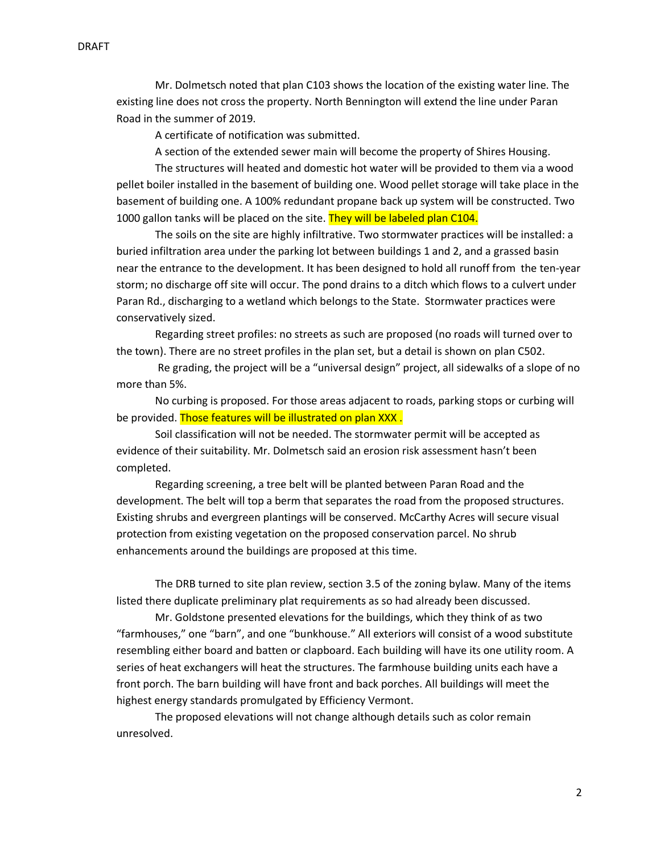Mr. Dolmetsch noted that plan C103 shows the location of the existing water line. The existing line does not cross the property. North Bennington will extend the line under Paran Road in the summer of 2019.

A certificate of notification was submitted.

A section of the extended sewer main will become the property of Shires Housing.

The structures will heated and domestic hot water will be provided to them via a wood pellet boiler installed in the basement of building one. Wood pellet storage will take place in the basement of building one. A 100% redundant propane back up system will be constructed. Two 1000 gallon tanks will be placed on the site. They will be labeled plan C104.

The soils on the site are highly infiltrative. Two stormwater practices will be installed: a buried infiltration area under the parking lot between buildings 1 and 2, and a grassed basin near the entrance to the development. It has been designed to hold all runoff from the ten-year storm; no discharge off site will occur. The pond drains to a ditch which flows to a culvert under Paran Rd., discharging to a wetland which belongs to the State. Stormwater practices were conservatively sized.

Regarding street profiles: no streets as such are proposed (no roads will turned over to the town). There are no street profiles in the plan set, but a detail is shown on plan C502.

Re grading, the project will be a "universal design" project, all sidewalks of a slope of no more than 5%.

No curbing is proposed. For those areas adjacent to roads, parking stops or curbing will be provided. Those features will be illustrated on plan XXX.

Soil classification will not be needed. The stormwater permit will be accepted as evidence of their suitability. Mr. Dolmetsch said an erosion risk assessment hasn't been completed.

Regarding screening, a tree belt will be planted between Paran Road and the development. The belt will top a berm that separates the road from the proposed structures. Existing shrubs and evergreen plantings will be conserved. McCarthy Acres will secure visual protection from existing vegetation on the proposed conservation parcel. No shrub enhancements around the buildings are proposed at this time.

The DRB turned to site plan review, section 3.5 of the zoning bylaw. Many of the items listed there duplicate preliminary plat requirements as so had already been discussed.

Mr. Goldstone presented elevations for the buildings, which they think of as two "farmhouses," one "barn", and one "bunkhouse." All exteriors will consist of a wood substitute resembling either board and batten or clapboard. Each building will have its one utility room. A series of heat exchangers will heat the structures. The farmhouse building units each have a front porch. The barn building will have front and back porches. All buildings will meet the highest energy standards promulgated by Efficiency Vermont.

The proposed elevations will not change although details such as color remain unresolved.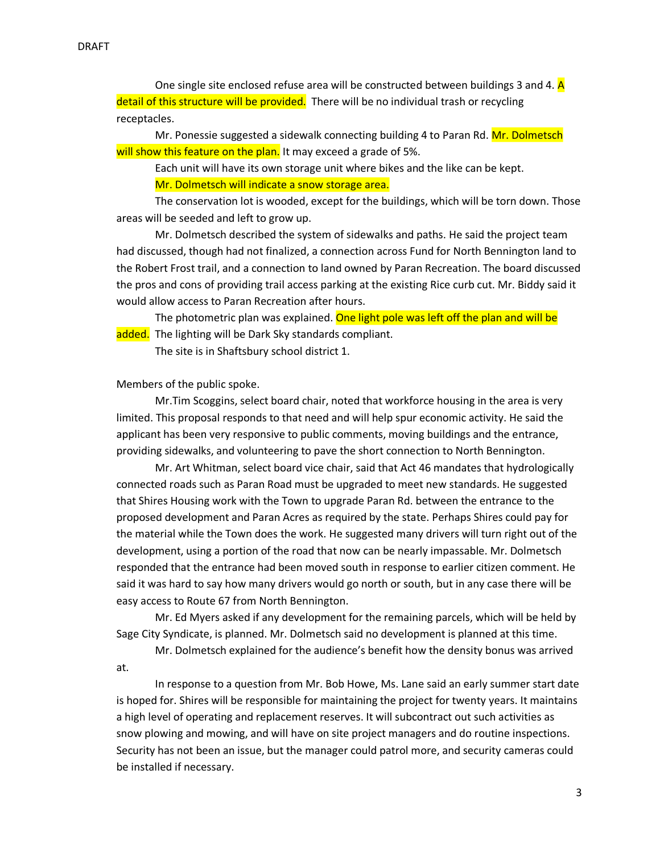One single site enclosed refuse area will be constructed between buildings 3 and 4. A detail of this structure will be provided. There will be no individual trash or recycling receptacles.

Mr. Ponessie suggested a sidewalk connecting building 4 to Paran Rd. Mr. Dolmetsch will show this feature on the plan. It may exceed a grade of 5%.

Each unit will have its own storage unit where bikes and the like can be kept.

Mr. Dolmetsch will indicate a snow storage area.

The conservation lot is wooded, except for the buildings, which will be torn down. Those areas will be seeded and left to grow up.

Mr. Dolmetsch described the system of sidewalks and paths. He said the project team had discussed, though had not finalized, a connection across Fund for North Bennington land to the Robert Frost trail, and a connection to land owned by Paran Recreation. The board discussed the pros and cons of providing trail access parking at the existing Rice curb cut. Mr. Biddy said it would allow access to Paran Recreation after hours.

The photometric plan was explained. One light pole was left off the plan and will be added. The lighting will be Dark Sky standards compliant.

The site is in Shaftsbury school district 1.

Members of the public spoke.

Mr.Tim Scoggins, select board chair, noted that workforce housing in the area is very limited. This proposal responds to that need and will help spur economic activity. He said the applicant has been very responsive to public comments, moving buildings and the entrance, providing sidewalks, and volunteering to pave the short connection to North Bennington.

Mr. Art Whitman, select board vice chair, said that Act 46 mandates that hydrologically connected roads such as Paran Road must be upgraded to meet new standards. He suggested that Shires Housing work with the Town to upgrade Paran Rd. between the entrance to the proposed development and Paran Acres as required by the state. Perhaps Shires could pay for the material while the Town does the work. He suggested many drivers will turn right out of the development, using a portion of the road that now can be nearly impassable. Mr. Dolmetsch responded that the entrance had been moved south in response to earlier citizen comment. He said it was hard to say how many drivers would go north or south, but in any case there will be easy access to Route 67 from North Bennington.

Mr. Ed Myers asked if any development for the remaining parcels, which will be held by Sage City Syndicate, is planned. Mr. Dolmetsch said no development is planned at this time.

Mr. Dolmetsch explained for the audience's benefit how the density bonus was arrived at.

In response to a question from Mr. Bob Howe, Ms. Lane said an early summer start date is hoped for. Shires will be responsible for maintaining the project for twenty years. It maintains a high level of operating and replacement reserves. It will subcontract out such activities as snow plowing and mowing, and will have on site project managers and do routine inspections. Security has not been an issue, but the manager could patrol more, and security cameras could be installed if necessary.